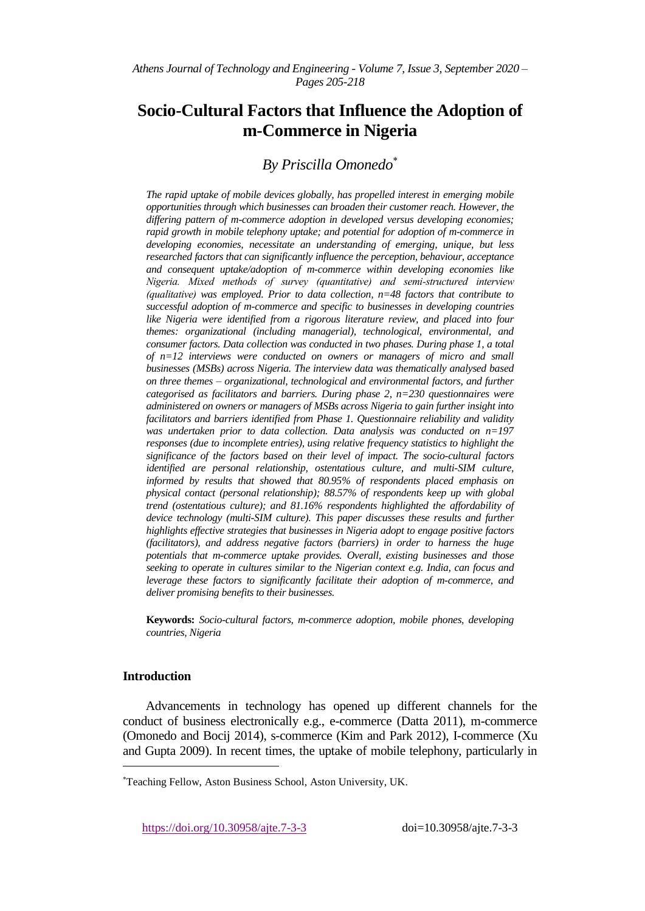*Athens Journal of Technology and Engineering - Volume 7, Issue 3, September 2020 – Pages 205-218*

# **Socio-Cultural Factors that Influence the Adoption of m-Commerce in Nigeria**

# *By Priscilla Omonedo*

*The rapid uptake of mobile devices globally, has propelled interest in emerging mobile opportunities through which businesses can broaden their customer reach. However, the differing pattern of m-commerce adoption in developed versus developing economies; rapid growth in mobile telephony uptake; and potential for adoption of m-commerce in developing economies, necessitate an understanding of emerging, unique, but less researched factors that can significantly influence the perception, behaviour, acceptance and consequent uptake/adoption of m-commerce within developing economies like Nigeria. Mixed methods of survey (quantitative) and semi-structured interview (qualitative) was employed. Prior to data collection, n=48 factors that contribute to successful adoption of m-commerce and specific to businesses in developing countries like Nigeria were identified from a rigorous literature review, and placed into four themes: organizational (including managerial), technological, environmental, and consumer factors. Data collection was conducted in two phases. During phase 1, a total of n=12 interviews were conducted on owners or managers of micro and small businesses (MSBs) across Nigeria. The interview data was thematically analysed based on three themes – organizational, technological and environmental factors, and further categorised as facilitators and barriers. During phase 2, n=230 questionnaires were administered on owners or managers of MSBs across Nigeria to gain further insight into facilitators and barriers identified from Phase 1. Questionnaire reliability and validity was undertaken prior to data collection. Data analysis was conducted on n=197 responses (due to incomplete entries), using relative frequency statistics to highlight the significance of the factors based on their level of impact. The socio-cultural factors identified are personal relationship, ostentatious culture, and multi-SIM culture, informed by results that showed that 80.95% of respondents placed emphasis on physical contact (personal relationship); 88.57% of respondents keep up with global trend (ostentatious culture); and 81.16% respondents highlighted the affordability of device technology (multi-SIM culture). This paper discusses these results and further highlights effective strategies that businesses in Nigeria adopt to engage positive factors (facilitators), and address negative factors (barriers) in order to harness the huge potentials that m-commerce uptake provides. Overall, existing businesses and those seeking to operate in cultures similar to the Nigerian context e.g. India, can focus and leverage these factors to significantly facilitate their adoption of m-commerce, and deliver promising benefits to their businesses.*

**Keywords:** *Socio-cultural factors, m-commerce adoption, mobile phones, developing countries, Nigeria*

## **Introduction**

 $\overline{a}$ 

Advancements in technology has opened up different channels for the conduct of business electronically e.g., e-commerce (Datta 2011), m-commerce (Omonedo and Bocij 2014), s-commerce (Kim and Park 2012), I-commerce (Xu and Gupta 2009). In recent times, the uptake of mobile telephony, particularly in

https://doi.org/10.30958/ajte.7-3-3 doi=10.30958/ajte.7-3-3

Teaching Fellow, Aston Business School, Aston University, UK.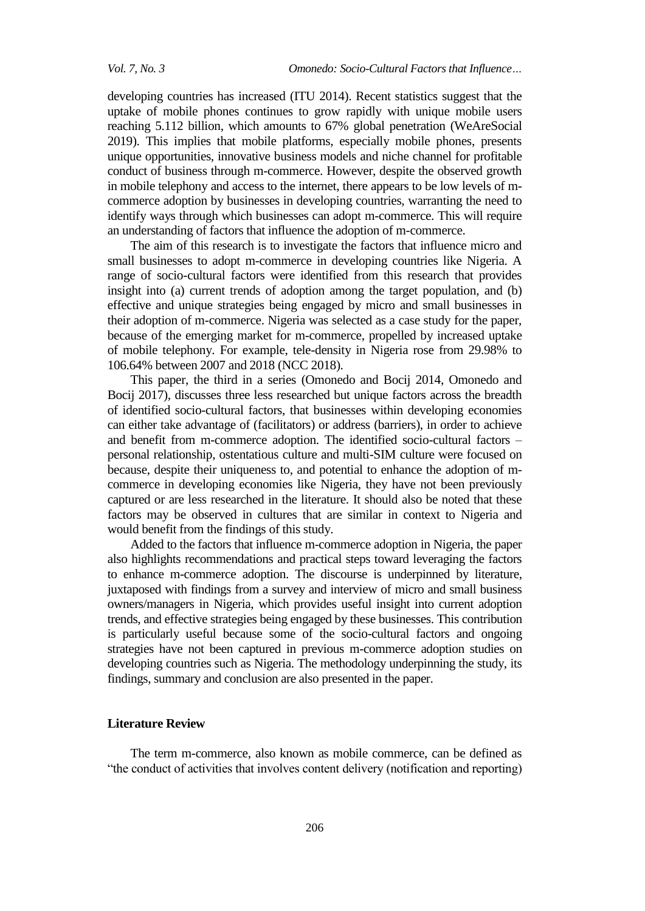developing countries has increased (ITU 2014). Recent statistics suggest that the uptake of mobile phones continues to grow rapidly with unique mobile users reaching 5.112 billion, which amounts to 67% global penetration (WeAreSocial 2019). This implies that mobile platforms, especially mobile phones, presents unique opportunities, innovative business models and niche channel for profitable conduct of business through m-commerce. However, despite the observed growth in mobile telephony and access to the internet, there appears to be low levels of mcommerce adoption by businesses in developing countries, warranting the need to identify ways through which businesses can adopt m-commerce. This will require an understanding of factors that influence the adoption of m-commerce.

The aim of this research is to investigate the factors that influence micro and small businesses to adopt m-commerce in developing countries like Nigeria. A range of socio-cultural factors were identified from this research that provides insight into (a) current trends of adoption among the target population, and (b) effective and unique strategies being engaged by micro and small businesses in their adoption of m-commerce. Nigeria was selected as a case study for the paper, because of the emerging market for m-commerce, propelled by increased uptake of mobile telephony. For example, tele-density in Nigeria rose from 29.98% to 106.64% between 2007 and 2018 (NCC 2018).

This paper, the third in a series (Omonedo and Bocij 2014, Omonedo and Bocij 2017), discusses three less researched but unique factors across the breadth of identified socio-cultural factors, that businesses within developing economies can either take advantage of (facilitators) or address (barriers), in order to achieve and benefit from m-commerce adoption. The identified socio-cultural factors – personal relationship, ostentatious culture and multi-SIM culture were focused on because, despite their uniqueness to, and potential to enhance the adoption of mcommerce in developing economies like Nigeria, they have not been previously captured or are less researched in the literature. It should also be noted that these factors may be observed in cultures that are similar in context to Nigeria and would benefit from the findings of this study.

Added to the factors that influence m-commerce adoption in Nigeria, the paper also highlights recommendations and practical steps toward leveraging the factors to enhance m-commerce adoption. The discourse is underpinned by literature, juxtaposed with findings from a survey and interview of micro and small business owners/managers in Nigeria, which provides useful insight into current adoption trends, and effective strategies being engaged by these businesses. This contribution is particularly useful because some of the socio-cultural factors and ongoing strategies have not been captured in previous m-commerce adoption studies on developing countries such as Nigeria. The methodology underpinning the study, its findings, summary and conclusion are also presented in the paper.

# **Literature Review**

The term m-commerce, also known as mobile commerce, can be defined as "the conduct of activities that involves content delivery (notification and reporting)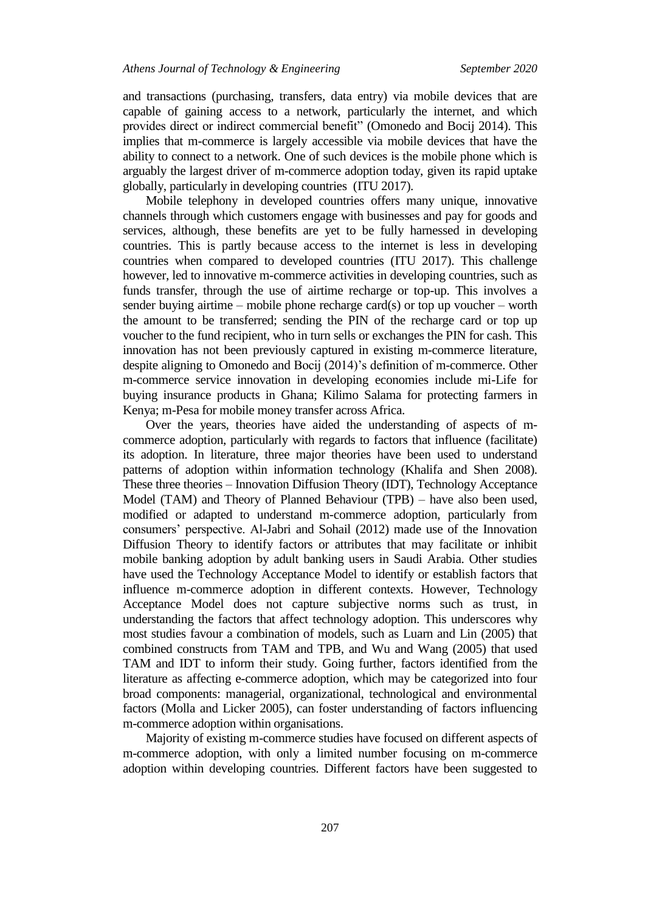and transactions (purchasing, transfers, data entry) via mobile devices that are capable of gaining access to a network, particularly the internet, and which provides direct or indirect commercial benefit" (Omonedo and Bocij 2014). This implies that m-commerce is largely accessible via mobile devices that have the ability to connect to a network. One of such devices is the mobile phone which is arguably the largest driver of m-commerce adoption today, given its rapid uptake globally, particularly in developing countries (ITU 2017).

Mobile telephony in developed countries offers many unique, innovative channels through which customers engage with businesses and pay for goods and services, although, these benefits are yet to be fully harnessed in developing countries. This is partly because access to the internet is less in developing countries when compared to developed countries (ITU 2017). This challenge however, led to innovative m-commerce activities in developing countries, such as funds transfer, through the use of airtime recharge or top-up. This involves a sender buying airtime – mobile phone recharge card(s) or top up voucher – worth the amount to be transferred; sending the PIN of the recharge card or top up voucher to the fund recipient, who in turn sells or exchanges the PIN for cash. This innovation has not been previously captured in existing m-commerce literature, despite aligning to Omonedo and Bocij (2014)'s definition of m-commerce. Other m-commerce service innovation in developing economies include mi-Life for buying insurance products in Ghana; Kilimo Salama for protecting farmers in Kenya; m-Pesa for mobile money transfer across Africa.

Over the years, theories have aided the understanding of aspects of mcommerce adoption, particularly with regards to factors that influence (facilitate) its adoption. In literature, three major theories have been used to understand patterns of adoption within information technology (Khalifa and Shen 2008). These three theories – Innovation Diffusion Theory (IDT), Technology Acceptance Model (TAM) and Theory of Planned Behaviour (TPB) – have also been used, modified or adapted to understand m-commerce adoption, particularly from consumers' perspective. Al-Jabri and Sohail (2012) made use of the Innovation Diffusion Theory to identify factors or attributes that may facilitate or inhibit mobile banking adoption by adult banking users in Saudi Arabia. Other studies have used the Technology Acceptance Model to identify or establish factors that influence m-commerce adoption in different contexts. However, Technology Acceptance Model does not capture subjective norms such as trust, in understanding the factors that affect technology adoption. This underscores why most studies favour a combination of models, such as Luarn and Lin (2005) that combined constructs from TAM and TPB, and Wu and Wang (2005) that used TAM and IDT to inform their study. Going further, factors identified from the literature as affecting e-commerce adoption, which may be categorized into four broad components: managerial, organizational, technological and environmental factors (Molla and Licker 2005), can foster understanding of factors influencing m-commerce adoption within organisations.

Majority of existing m-commerce studies have focused on different aspects of m-commerce adoption, with only a limited number focusing on m-commerce adoption within developing countries. Different factors have been suggested to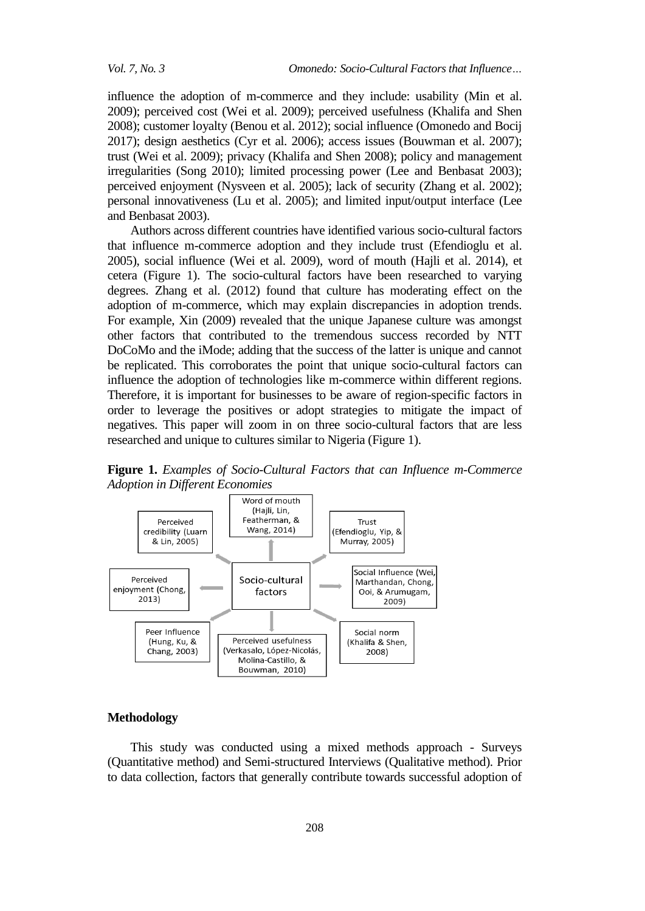influence the adoption of m-commerce and they include: usability (Min et al. 2009); perceived cost (Wei et al. 2009); perceived usefulness (Khalifa and Shen 2008); customer loyalty (Benou et al. 2012); social influence (Omonedo and Bocij 2017); design aesthetics (Cyr et al. 2006); access issues (Bouwman et al. 2007); trust (Wei et al. 2009); privacy (Khalifa and Shen 2008); policy and management irregularities (Song 2010); limited processing power (Lee and Benbasat 2003); perceived enjoyment (Nysveen et al. 2005); lack of security (Zhang et al. 2002); personal innovativeness (Lu et al. 2005); and limited input/output interface (Lee and Benbasat 2003).

Authors across different countries have identified various socio-cultural factors that influence m-commerce adoption and they include trust (Efendioglu et al. 2005), social influence (Wei et al. 2009), word of mouth (Hajli et al. 2014), et cetera (Figure 1). The socio-cultural factors have been researched to varying degrees. Zhang et al. (2012) found that culture has moderating effect on the adoption of m-commerce, which may explain discrepancies in adoption trends. For example, Xin (2009) revealed that the unique Japanese culture was amongst other factors that contributed to the tremendous success recorded by NTT DoCoMo and the iMode; adding that the success of the latter is unique and cannot be replicated. This corroborates the point that unique socio-cultural factors can influence the adoption of technologies like m-commerce within different regions. Therefore, it is important for businesses to be aware of region-specific factors in order to leverage the positives or adopt strategies to mitigate the impact of negatives. This paper will zoom in on three socio-cultural factors that are less researched and unique to cultures similar to Nigeria (Figure 1).

**Figure 1.** *Examples of Socio-Cultural Factors that can Influence m-Commerce Adoption in Different Economies*



# **Methodology**

This study was conducted using a mixed methods approach - Surveys (Quantitative method) and Semi-structured Interviews (Qualitative method). Prior to data collection, factors that generally contribute towards successful adoption of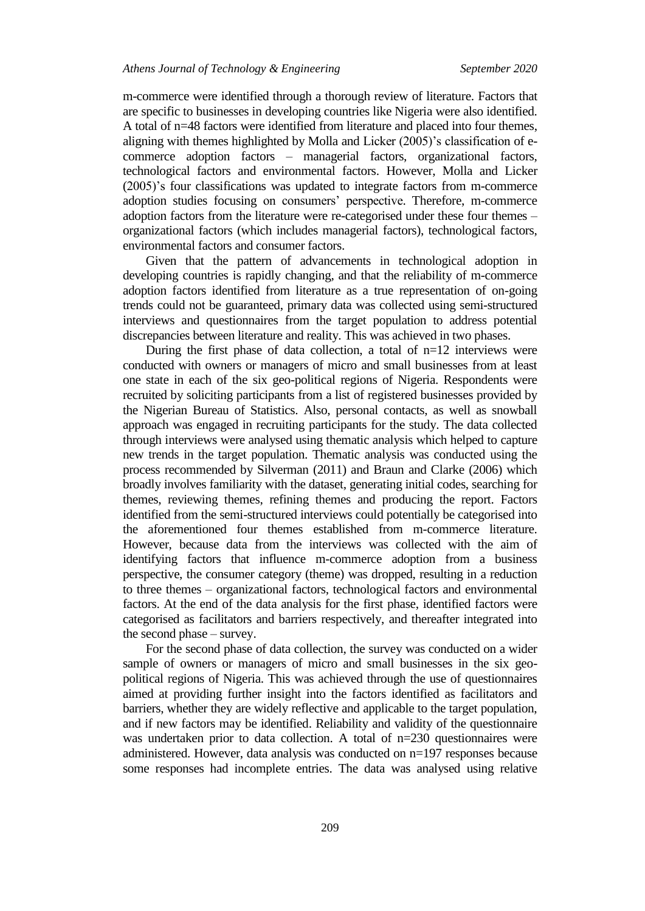m-commerce were identified through a thorough review of literature. Factors that are specific to businesses in developing countries like Nigeria were also identified. A total of n=48 factors were identified from literature and placed into four themes, aligning with themes highlighted by Molla and Licker (2005)'s classification of ecommerce adoption factors – managerial factors, organizational factors, technological factors and environmental factors. However, Molla and Licker (2005)'s four classifications was updated to integrate factors from m-commerce adoption studies focusing on consumers' perspective. Therefore, m-commerce adoption factors from the literature were re-categorised under these four themes – organizational factors (which includes managerial factors), technological factors, environmental factors and consumer factors.

Given that the pattern of advancements in technological adoption in developing countries is rapidly changing, and that the reliability of m-commerce adoption factors identified from literature as a true representation of on-going trends could not be guaranteed, primary data was collected using semi-structured interviews and questionnaires from the target population to address potential discrepancies between literature and reality. This was achieved in two phases.

During the first phase of data collection, a total of  $n=12$  interviews were conducted with owners or managers of micro and small businesses from at least one state in each of the six geo-political regions of Nigeria. Respondents were recruited by soliciting participants from a list of registered businesses provided by the Nigerian Bureau of Statistics. Also, personal contacts, as well as snowball approach was engaged in recruiting participants for the study. The data collected through interviews were analysed using thematic analysis which helped to capture new trends in the target population. Thematic analysis was conducted using the process recommended by Silverman (2011) and Braun and Clarke (2006) which broadly involves familiarity with the dataset, generating initial codes, searching for themes, reviewing themes, refining themes and producing the report. Factors identified from the semi-structured interviews could potentially be categorised into the aforementioned four themes established from m-commerce literature. However, because data from the interviews was collected with the aim of identifying factors that influence m-commerce adoption from a business perspective, the consumer category (theme) was dropped, resulting in a reduction to three themes – organizational factors, technological factors and environmental factors. At the end of the data analysis for the first phase, identified factors were categorised as facilitators and barriers respectively, and thereafter integrated into the second phase – survey.

For the second phase of data collection, the survey was conducted on a wider sample of owners or managers of micro and small businesses in the six geopolitical regions of Nigeria. This was achieved through the use of questionnaires aimed at providing further insight into the factors identified as facilitators and barriers, whether they are widely reflective and applicable to the target population, and if new factors may be identified. Reliability and validity of the questionnaire was undertaken prior to data collection. A total of n=230 questionnaires were administered. However, data analysis was conducted on n=197 responses because some responses had incomplete entries. The data was analysed using relative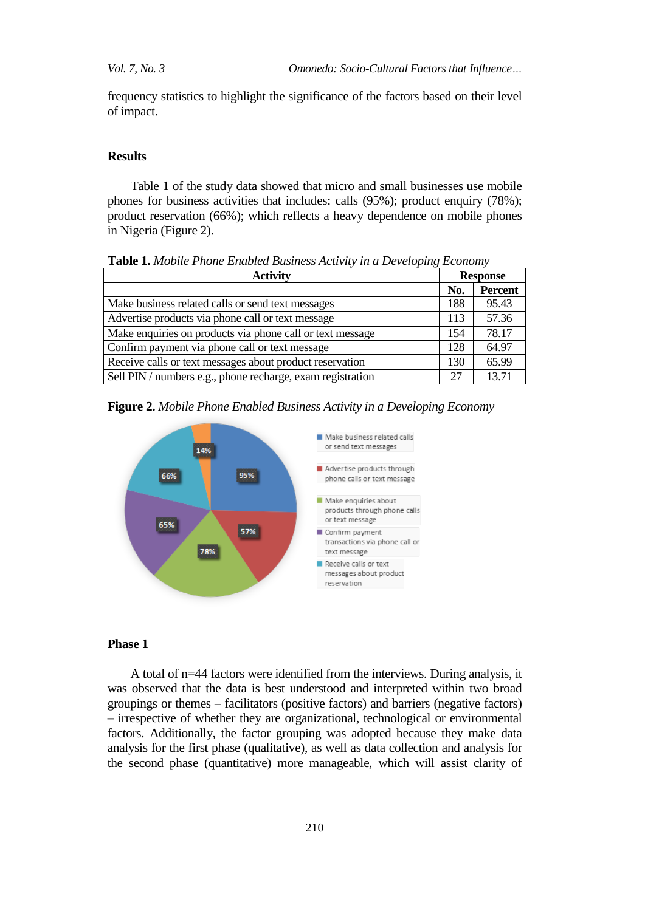*Vol. 7, No. 3 Omonedo: Socio-Cultural Factors that Influence…*

frequency statistics to highlight the significance of the factors based on their level of impact.

## **Results**

Table 1 of the study data showed that micro and small businesses use mobile phones for business activities that includes: calls (95%); product enquiry (78%); product reservation (66%); which reflects a heavy dependence on mobile phones in Nigeria (Figure 2).

| <b>Activity</b>                                            | <b>Response</b> |                |
|------------------------------------------------------------|-----------------|----------------|
|                                                            | No.             | <b>Percent</b> |
| Make business related calls or send text messages          | 188             | 95.43          |
| Advertise products via phone call or text message          | 113             | 57.36          |
| Make enquiries on products via phone call or text message  | 154             | 78.17          |
| Confirm payment via phone call or text message             | 128             | 64.97          |
| Receive calls or text messages about product reservation   | 130             | 65.99          |
| Sell PIN / numbers e.g., phone recharge, exam registration | 27              | 13.71          |

**Table 1.** *Mobile Phone Enabled Business Activity in a Developing Economy*

| Figure 2. Mobile Phone Enabled Business Activity in a Developing Economy |  |  |  |  |  |  |  |
|--------------------------------------------------------------------------|--|--|--|--|--|--|--|
|--------------------------------------------------------------------------|--|--|--|--|--|--|--|



## **Phase 1**

A total of n=44 factors were identified from the interviews. During analysis, it was observed that the data is best understood and interpreted within two broad groupings or themes – facilitators (positive factors) and barriers (negative factors) – irrespective of whether they are organizational, technological or environmental factors. Additionally, the factor grouping was adopted because they make data analysis for the first phase (qualitative), as well as data collection and analysis for the second phase (quantitative) more manageable, which will assist clarity of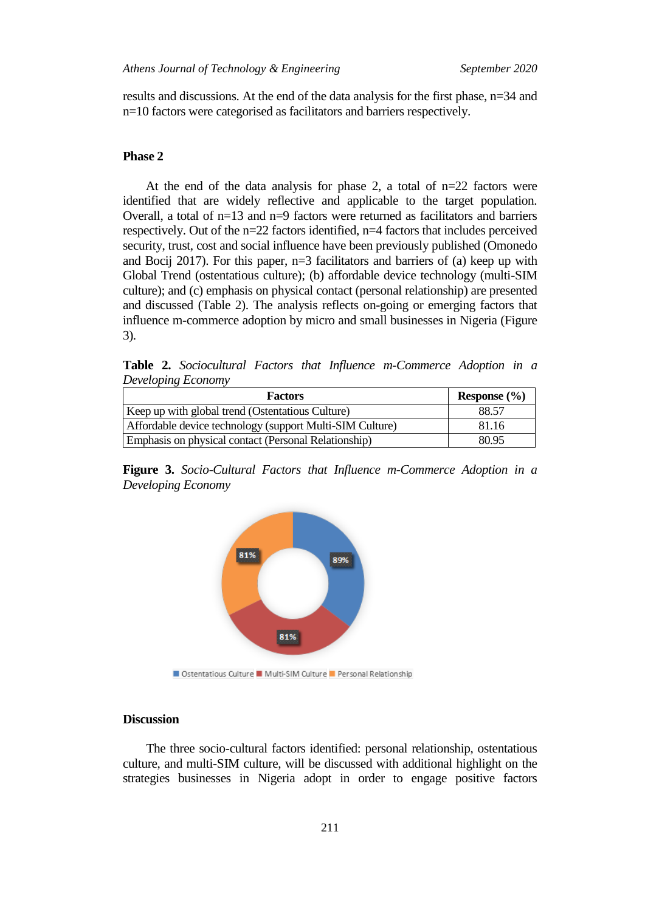results and discussions. At the end of the data analysis for the first phase, n=34 and n=10 factors were categorised as facilitators and barriers respectively.

# **Phase 2**

At the end of the data analysis for phase 2, a total of  $n=22$  factors were identified that are widely reflective and applicable to the target population. Overall, a total of  $n=13$  and  $n=9$  factors were returned as facilitators and barriers respectively. Out of the n=22 factors identified, n=4 factors that includes perceived security, trust, cost and social influence have been previously published (Omonedo and Bocij 2017). For this paper, n=3 facilitators and barriers of (a) keep up with Global Trend (ostentatious culture); (b) affordable device technology (multi-SIM culture); and (c) emphasis on physical contact (personal relationship) are presented and discussed (Table 2). The analysis reflects on-going or emerging factors that influence m-commerce adoption by micro and small businesses in Nigeria (Figure 3).

**Table 2.** *Sociocultural Factors that Influence m-Commerce Adoption in a Developing Economy*

| <b>Factors</b>                                           | Response $(\% )$ |  |  |
|----------------------------------------------------------|------------------|--|--|
| Keep up with global trend (Ostentatious Culture)         | 88.57            |  |  |
| Affordable device technology (support Multi-SIM Culture) | 81.16            |  |  |
| Emphasis on physical contact (Personal Relationship)     | 80.95            |  |  |

**Figure 3.** *Socio-Cultural Factors that Influence m-Commerce Adoption in a Developing Economy*



Ostentatious Culture Multi-SIM Culture Personal Relationship

# **Discussion**

The three socio-cultural factors identified: personal relationship, ostentatious culture, and multi-SIM culture, will be discussed with additional highlight on the strategies businesses in Nigeria adopt in order to engage positive factors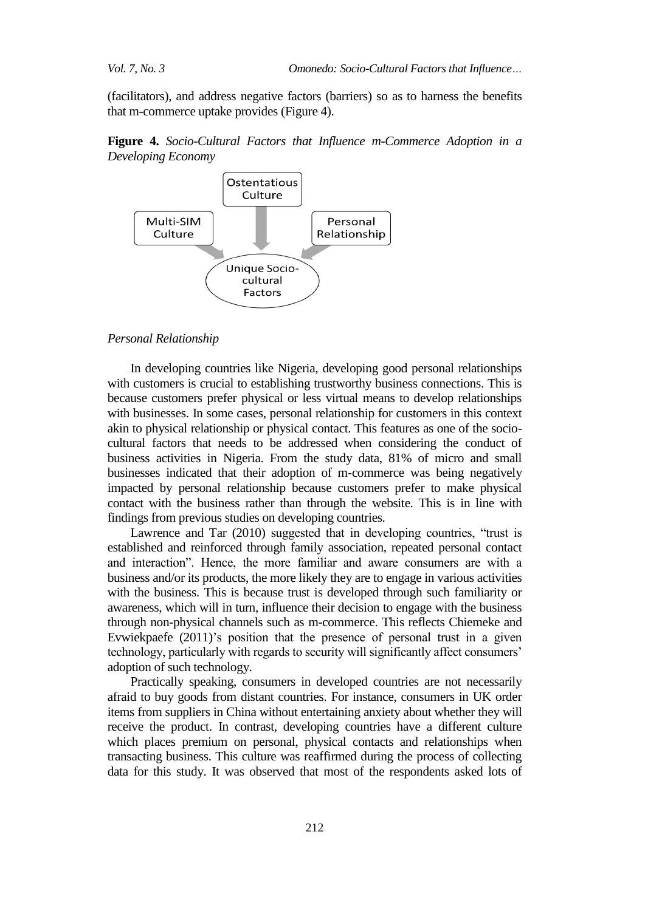(facilitators), and address negative factors (barriers) so as to harness the benefits that m-commerce uptake provides (Figure 4).





### *Personal Relationship*

In developing countries like Nigeria, developing good personal relationships with customers is crucial to establishing trustworthy business connections. This is because customers prefer physical or less virtual means to develop relationships with businesses. In some cases, personal relationship for customers in this context akin to physical relationship or physical contact. This features as one of the sociocultural factors that needs to be addressed when considering the conduct of business activities in Nigeria. From the study data, 81% of micro and small businesses indicated that their adoption of m-commerce was being negatively impacted by personal relationship because customers prefer to make physical contact with the business rather than through the website. This is in line with findings from previous studies on developing countries.

Lawrence and Tar (2010) suggested that in developing countries, "trust is established and reinforced through family association, repeated personal contact and interaction". Hence, the more familiar and aware consumers are with a business and/or its products, the more likely they are to engage in various activities with the business. This is because trust is developed through such familiarity or awareness, which will in turn, influence their decision to engage with the business through non-physical channels such as m-commerce. This reflects Chiemeke and Evwiekpaefe (2011)'s position that the presence of personal trust in a given technology, particularly with regards to security will significantly affect consumers' adoption of such technology.

Practically speaking, consumers in developed countries are not necessarily afraid to buy goods from distant countries. For instance, consumers in UK order items from suppliers in China without entertaining anxiety about whether they will receive the product. In contrast, developing countries have a different culture which places premium on personal, physical contacts and relationships when transacting business. This culture was reaffirmed during the process of collecting data for this study. It was observed that most of the respondents asked lots of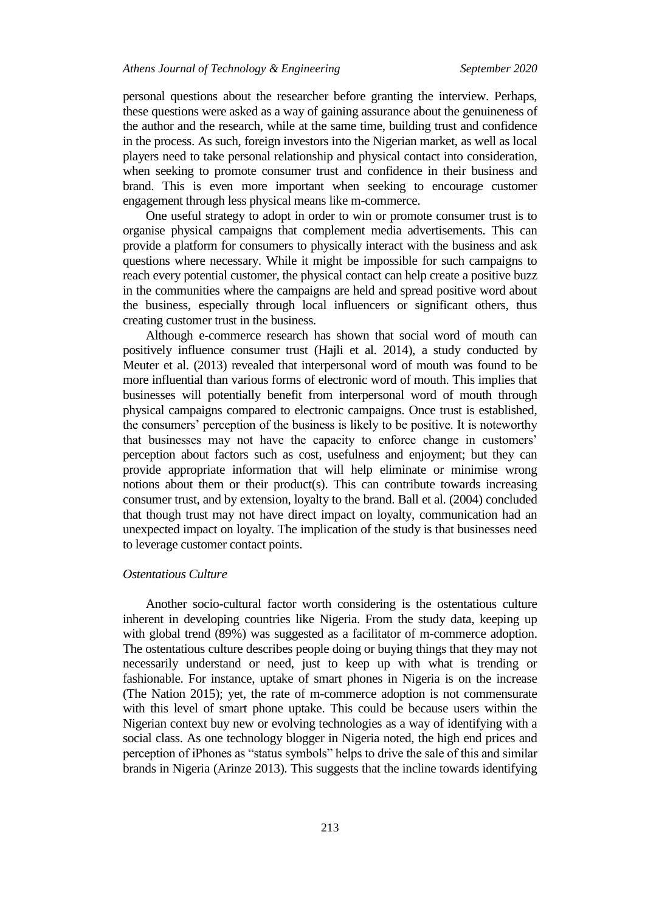personal questions about the researcher before granting the interview. Perhaps, these questions were asked as a way of gaining assurance about the genuineness of the author and the research, while at the same time, building trust and confidence in the process. As such, foreign investors into the Nigerian market, as well as local players need to take personal relationship and physical contact into consideration, when seeking to promote consumer trust and confidence in their business and brand. This is even more important when seeking to encourage customer engagement through less physical means like m-commerce.

One useful strategy to adopt in order to win or promote consumer trust is to organise physical campaigns that complement media advertisements. This can provide a platform for consumers to physically interact with the business and ask questions where necessary. While it might be impossible for such campaigns to reach every potential customer, the physical contact can help create a positive buzz in the communities where the campaigns are held and spread positive word about the business, especially through local influencers or significant others, thus creating customer trust in the business.

Although e-commerce research has shown that social word of mouth can positively influence consumer trust (Hajli et al. 2014), a study conducted by Meuter et al. (2013) revealed that interpersonal word of mouth was found to be more influential than various forms of electronic word of mouth. This implies that businesses will potentially benefit from interpersonal word of mouth through physical campaigns compared to electronic campaigns. Once trust is established, the consumers' perception of the business is likely to be positive. It is noteworthy that businesses may not have the capacity to enforce change in customers' perception about factors such as cost, usefulness and enjoyment; but they can provide appropriate information that will help eliminate or minimise wrong notions about them or their product(s). This can contribute towards increasing consumer trust, and by extension, loyalty to the brand. Ball et al. (2004) concluded that though trust may not have direct impact on loyalty, communication had an unexpected impact on loyalty. The implication of the study is that businesses need to leverage customer contact points.

# *Ostentatious Culture*

Another socio-cultural factor worth considering is the ostentatious culture inherent in developing countries like Nigeria. From the study data, keeping up with global trend (89%) was suggested as a facilitator of m-commerce adoption. The ostentatious culture describes people doing or buying things that they may not necessarily understand or need, just to keep up with what is trending or fashionable. For instance, uptake of smart phones in Nigeria is on the increase (The Nation 2015); yet, the rate of m-commerce adoption is not commensurate with this level of smart phone uptake. This could be because users within the Nigerian context buy new or evolving technologies as a way of identifying with a social class. As one technology blogger in Nigeria noted, the high end prices and perception of iPhones as "status symbols" helps to drive the sale of this and similar brands in Nigeria (Arinze 2013). This suggests that the incline towards identifying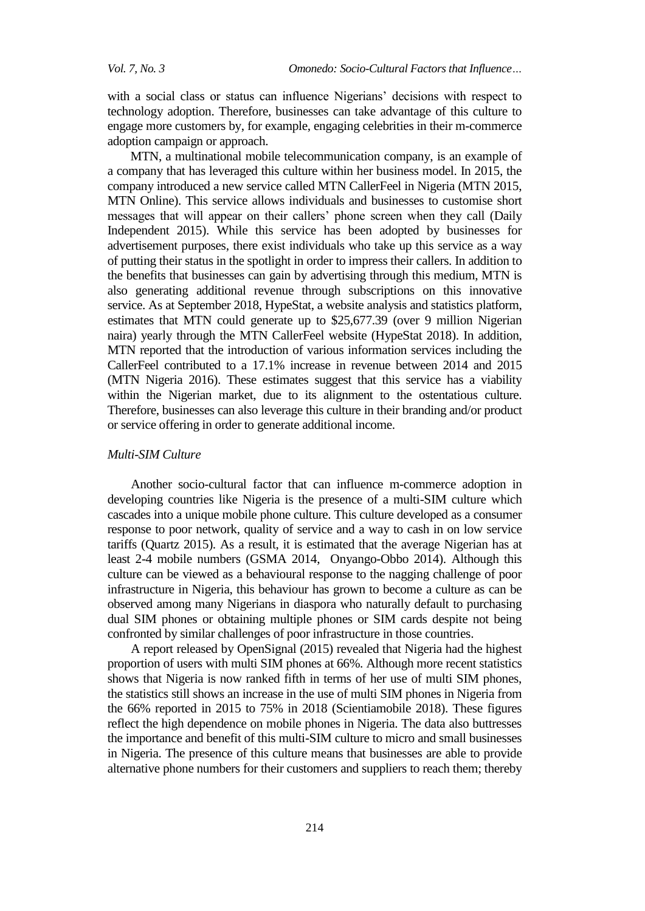with a social class or status can influence Nigerians' decisions with respect to technology adoption. Therefore, businesses can take advantage of this culture to engage more customers by, for example, engaging celebrities in their m-commerce adoption campaign or approach.

MTN, a multinational mobile telecommunication company, is an example of a company that has leveraged this culture within her business model. In 2015, the company introduced a new service called MTN CallerFeel in Nigeria (MTN 2015, MTN Online). This service allows individuals and businesses to customise short messages that will appear on their callers' phone screen when they call (Daily Independent 2015). While this service has been adopted by businesses for advertisement purposes, there exist individuals who take up this service as a way of putting their status in the spotlight in order to impress their callers. In addition to the benefits that businesses can gain by advertising through this medium, MTN is also generating additional revenue through subscriptions on this innovative service. As at September 2018, HypeStat, a website analysis and statistics platform, estimates that MTN could generate up to \$25,677.39 (over 9 million Nigerian naira) yearly through the MTN CallerFeel website (HypeStat 2018). In addition, MTN reported that the introduction of various information services including the CallerFeel contributed to a 17.1% increase in revenue between 2014 and 2015 (MTN Nigeria 2016). These estimates suggest that this service has a viability within the Nigerian market, due to its alignment to the ostentatious culture. Therefore, businesses can also leverage this culture in their branding and/or product or service offering in order to generate additional income.

# *Multi-SIM Culture*

Another socio-cultural factor that can influence m-commerce adoption in developing countries like Nigeria is the presence of a multi-SIM culture which cascades into a unique mobile phone culture. This culture developed as a consumer response to poor network, quality of service and a way to cash in on low service tariffs (Quartz 2015). As a result, it is estimated that the average Nigerian has at least 2-4 mobile numbers (GSMA 2014, Onyango-Obbo 2014). Although this culture can be viewed as a behavioural response to the nagging challenge of poor infrastructure in Nigeria, this behaviour has grown to become a culture as can be observed among many Nigerians in diaspora who naturally default to purchasing dual SIM phones or obtaining multiple phones or SIM cards despite not being confronted by similar challenges of poor infrastructure in those countries.

A report released by OpenSignal (2015) revealed that Nigeria had the highest proportion of users with multi SIM phones at 66%. Although more recent statistics shows that Nigeria is now ranked fifth in terms of her use of multi SIM phones, the statistics still shows an increase in the use of multi SIM phones in Nigeria from the 66% reported in 2015 to 75% in 2018 (Scientiamobile 2018). These figures reflect the high dependence on mobile phones in Nigeria. The data also buttresses the importance and benefit of this multi-SIM culture to micro and small businesses in Nigeria. The presence of this culture means that businesses are able to provide alternative phone numbers for their customers and suppliers to reach them; thereby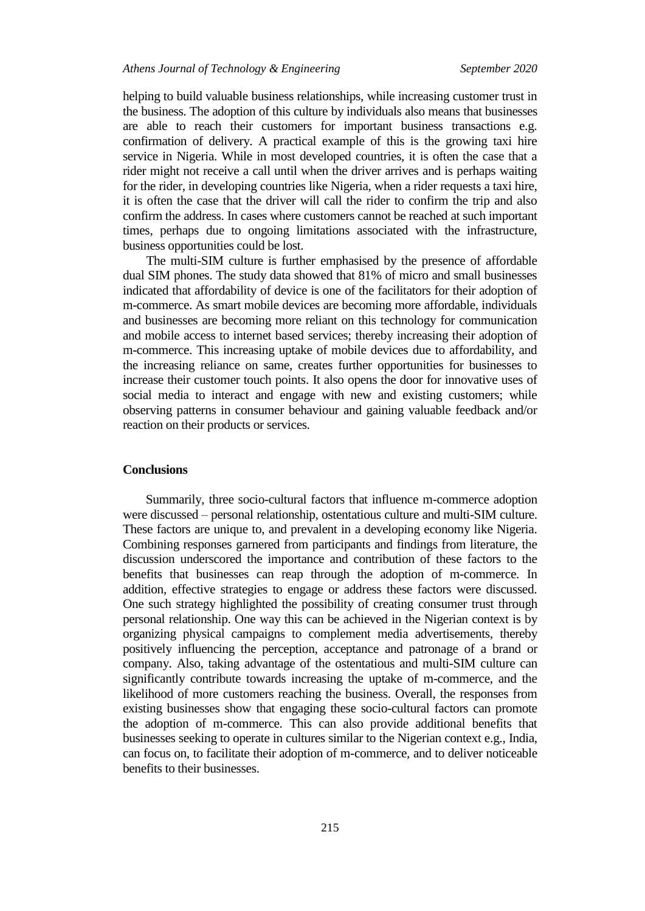helping to build valuable business relationships, while increasing customer trust in the business. The adoption of this culture by individuals also means that businesses are able to reach their customers for important business transactions e.g. confirmation of delivery. A practical example of this is the growing taxi hire service in Nigeria. While in most developed countries, it is often the case that a rider might not receive a call until when the driver arrives and is perhaps waiting for the rider, in developing countries like Nigeria, when a rider requests a taxi hire, it is often the case that the driver will call the rider to confirm the trip and also confirm the address. In cases where customers cannot be reached at such important times, perhaps due to ongoing limitations associated with the infrastructure, business opportunities could be lost.

The multi-SIM culture is further emphasised by the presence of affordable dual SIM phones. The study data showed that 81% of micro and small businesses indicated that affordability of device is one of the facilitators for their adoption of m-commerce. As smart mobile devices are becoming more affordable, individuals and businesses are becoming more reliant on this technology for communication and mobile access to internet based services; thereby increasing their adoption of m-commerce. This increasing uptake of mobile devices due to affordability, and the increasing reliance on same, creates further opportunities for businesses to increase their customer touch points. It also opens the door for innovative uses of social media to interact and engage with new and existing customers; while observing patterns in consumer behaviour and gaining valuable feedback and/or reaction on their products or services.

## **Conclusions**

Summarily, three socio-cultural factors that influence m-commerce adoption were discussed – personal relationship, ostentatious culture and multi-SIM culture. These factors are unique to, and prevalent in a developing economy like Nigeria. Combining responses garnered from participants and findings from literature, the discussion underscored the importance and contribution of these factors to the benefits that businesses can reap through the adoption of m-commerce. In addition, effective strategies to engage or address these factors were discussed. One such strategy highlighted the possibility of creating consumer trust through personal relationship. One way this can be achieved in the Nigerian context is by organizing physical campaigns to complement media advertisements, thereby positively influencing the perception, acceptance and patronage of a brand or company. Also, taking advantage of the ostentatious and multi-SIM culture can significantly contribute towards increasing the uptake of m-commerce, and the likelihood of more customers reaching the business. Overall, the responses from existing businesses show that engaging these socio-cultural factors can promote the adoption of m-commerce. This can also provide additional benefits that businesses seeking to operate in cultures similar to the Nigerian context e.g., India, can focus on, to facilitate their adoption of m-commerce, and to deliver noticeable benefits to their businesses.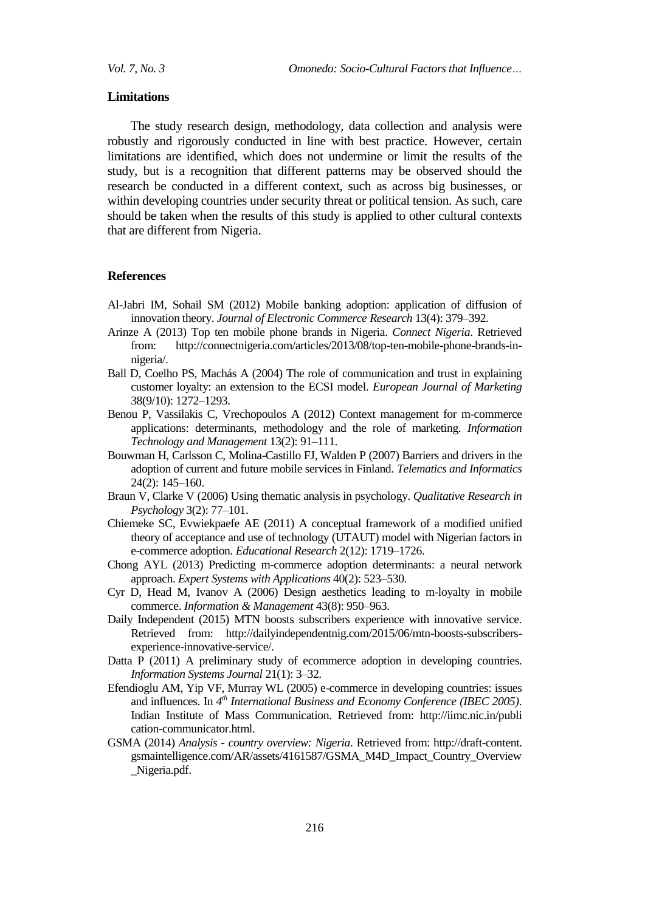### **Limitations**

The study research design, methodology, data collection and analysis were robustly and rigorously conducted in line with best practice. However, certain limitations are identified, which does not undermine or limit the results of the study, but is a recognition that different patterns may be observed should the research be conducted in a different context, such as across big businesses, or within developing countries under security threat or political tension. As such, care should be taken when the results of this study is applied to other cultural contexts that are different from Nigeria.

#### **References**

- Al-Jabri IM, Sohail SM (2012) Mobile banking adoption: application of diffusion of innovation theory. *Journal of Electronic Commerce Research* 13(4): 379–392.
- Arinze A (2013) Top ten mobile phone brands in Nigeria. *Connect Nigeria*. Retrieved from: http://connectnigeria.com/articles/2013/08/top-ten-mobile-phone-brands-innigeria/.
- Ball D, Coelho PS, Machás A (2004) The role of communication and trust in explaining customer loyalty: an extension to the ECSI model. *European Journal of Marketing* 38(9/10): 1272–1293.
- Benou P, Vassilakis C, Vrechopoulos A (2012) Context management for m-commerce applications: determinants, methodology and the role of marketing. *Information Technology and Management* 13(2): 91–111.
- Bouwman H, Carlsson C, Molina-Castillo FJ, Walden P (2007) Barriers and drivers in the adoption of current and future mobile services in Finland. *Telematics and Informatics* 24(2): 145–160.
- Braun V, Clarke V (2006) Using thematic analysis in psychology. *Qualitative Research in Psychology* 3(2): 77–101.
- Chiemeke SC, Evwiekpaefe AE (2011) A conceptual framework of a modified unified theory of acceptance and use of technology (UTAUT) model with Nigerian factors in e-commerce adoption. *Educational Research* 2(12): 1719–1726.
- Chong AYL (2013) Predicting m-commerce adoption determinants: a neural network approach. *Expert Systems with Applications* 40(2): 523–530.
- Cyr D, Head M, Ivanov A (2006) Design aesthetics leading to m-loyalty in mobile commerce. *Information & Management* 43(8): 950–963.
- Daily Independent (2015) MTN boosts subscribers experience with innovative service. Retrieved from: http://dailyindependentnig.com/2015/06/mtn-boosts-subscribersexperience-innovative-service/.
- Datta P (2011) A preliminary study of ecommerce adoption in developing countries. *Information Systems Journal* 21(1): 3–32.
- Efendioglu AM, Yip VF, Murray WL (2005) e-commerce in developing countries: issues and influences. In 4<sup>th</sup> *International Business and Economy Conference (IBEC 2005)*. Indian Institute of Mass Communication. Retrieved from: http://iimc.nic.in/publi cation-communicator.html.
- GSMA (2014) *Analysis - country overview: Nigeria*. Retrieved from: http://draft-content. gsmaintelligence.com/AR/assets/4161587/GSMA\_M4D\_Impact\_Country\_Overview \_Nigeria.pdf.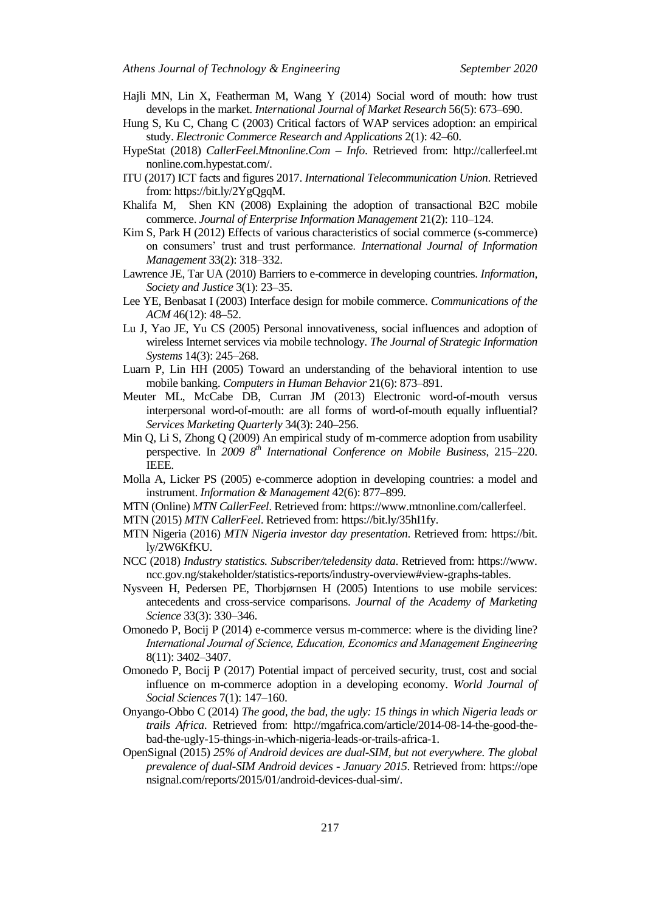- Hajli MN, Lin X, Featherman M, Wang Y (2014) Social word of mouth: how trust develops in the market. *International Journal of Market Research* 56(5): 673–690.
- Hung S, Ku C, Chang C (2003) Critical factors of WAP services adoption: an empirical study. *Electronic Commerce Research and Applications* 2(1): 42–60.
- HypeStat (2018) *CallerFeel.Mtnonline.Com – Info*. Retrieved from: http://callerfeel.mt nonline.com.hypestat.com/.
- ITU (2017) ICT facts and figures 2017. *International Telecommunication Union*. Retrieved from: https://bit.ly/2YgQgqM.
- Khalifa M, Shen KN (2008) Explaining the adoption of transactional B2C mobile commerce. *Journal of Enterprise Information Management* 21(2): 110–124.
- Kim S, Park H (2012) Effects of various characteristics of social commerce (s-commerce) on consumers' trust and trust performance. *International Journal of Information Management* 33(2): 318–332.
- Lawrence JE, Tar UA (2010) Barriers to e-commerce in developing countries. *Information, Society and Justice* 3(1): 23–35.
- Lee YE, Benbasat I (2003) Interface design for mobile commerce. *Communications of the ACM* 46(12): 48–52.
- Lu J, Yao JE, Yu CS (2005) Personal innovativeness, social influences and adoption of wireless Internet services via mobile technology. *The Journal of Strategic Information Systems* 14(3): 245–268.
- Luarn P, Lin HH (2005) Toward an understanding of the behavioral intention to use mobile banking. *Computers in Human Behavior* 21(6): 873–891.
- Meuter ML, McCabe DB, Curran JM (2013) Electronic word-of-mouth versus interpersonal word-of-mouth: are all forms of word-of-mouth equally influential? *Services Marketing Quarterly* 34(3): 240–256.
- Min Q, Li S, Zhong Q (2009) An empirical study of m-commerce adoption from usability perspective. In *2009 8 th International Conference on Mobile Business*, 215–220. IEEE.
- Molla A, Licker PS (2005) e-commerce adoption in developing countries: a model and instrument. *Information & Management* 42(6): 877–899.
- MTN (Online) *MTN CallerFeel*. Retrieved from: https://www.mtnonline.com/callerfeel.
- MTN (2015) *MTN CallerFeel*. Retrieved from: https://bit.ly/35hI1fy.
- MTN Nigeria (2016) *MTN Nigeria investor day presentation*. Retrieved from: https://bit. ly/2W6KfKU.
- NCC (2018) *Industry statistics. Subscriber/teledensity data*. Retrieved from: https://www. ncc.gov.ng/stakeholder/statistics-reports/industry-overview#view-graphs-tables.
- Nysveen H, Pedersen PE, Thorbjørnsen H (2005) Intentions to use mobile services: antecedents and cross-service comparisons. *Journal of the Academy of Marketing Science* 33(3): 330–346.
- Omonedo P, Bocij P (2014) e-commerce versus m-commerce: where is the dividing line? *International Journal of Science, Education, Economics and Management Engineering* 8(11): 3402–3407.
- Omonedo P, Bocij P (2017) Potential impact of perceived security, trust, cost and social influence on m-commerce adoption in a developing economy. *World Journal of Social Sciences* 7(1): 147–160.
- Onyango-Obbo C (2014) *The good, the bad, the ugly: 15 things in which Nigeria leads or trails Africa*. Retrieved from: http://mgafrica.com/article/2014-08-14-the-good-thebad-the-ugly-15-things-in-which-nigeria-leads-or-trails-africa-1.
- OpenSignal (2015) *25% of Android devices are dual-SIM, but not everywhere. The global prevalence of dual-SIM Android devices - January 2015*. Retrieved from: https://ope nsignal.com/reports/2015/01/android-devices-dual-sim/.